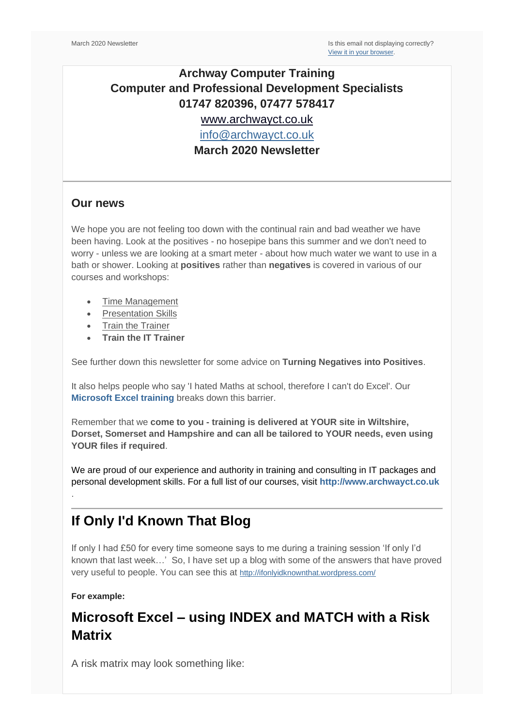## **Archway Computer Training Computer and Professional Development Specialists 01747 820396, 07477 578417**

[www.archwayct.co.uk](http://www.archwayct.co.uk/)

[info@archwayct.co.uk](mailto:%20info@archwayct.co.uk)

**March 2020 Newsletter**

#### **Our news**

We hope you are not feeling too down with the continual rain and bad weather we have been having. Look at the positives - no hosepipe bans this summer and we don't need to worry - unless we are looking at a smart meter - about how much water we want to use in a bath or shower. Looking at **positives** rather than **negatives** is covered in various of our courses and workshops:

- [Time Management](http://www.archwayct.co.uk/professional-development-training/time-management-training)
- [Presentation Skills](http://www.archwayct.co.uk/professional-development-training/presentation-skills-training)
- [Train the Trainer](http://www.archwayct.co.uk/professional-development-training/train-the-trainer-training)
- **[Train the IT Trainer](http://www.archwayct.co.uk/professional-development-training/train-the-it-trainer-training)**

See further down this newsletter for some advice on **Turning Negatives into Positives**.

It also helps people who say 'I hated Maths at school, therefore I can't do Excel'. Our **[Microsoft Excel training](http://www.archwayct.co.uk/microsoft-office-training/microsoft-excel-training)** breaks down this barrier.

Remember that we **come to you - training is delivered at YOUR site in Wiltshire, Dorset, Somerset and Hampshire and can all be tailored to YOUR needs, even using YOUR files if required**.

We are proud of our experience and authority in training and consulting in IT packages and personal development skills. For a full list of our courses, visit **[http://www.archwayct.co.uk](http://www.archwayct.co.uk/)**

## **If Only I'd Known That Blog**

If only I had £50 for every time someone says to me during a training session 'If only I'd known that last week…' So, I have set up a blog with some of the answers that have proved very useful to people. You can see this at <http://ifonlyidknownthat.wordpress.com/>

**For example:**

.

# **Microsoft Excel – using INDEX and MATCH with a Risk Matrix**

A risk matrix may look something like: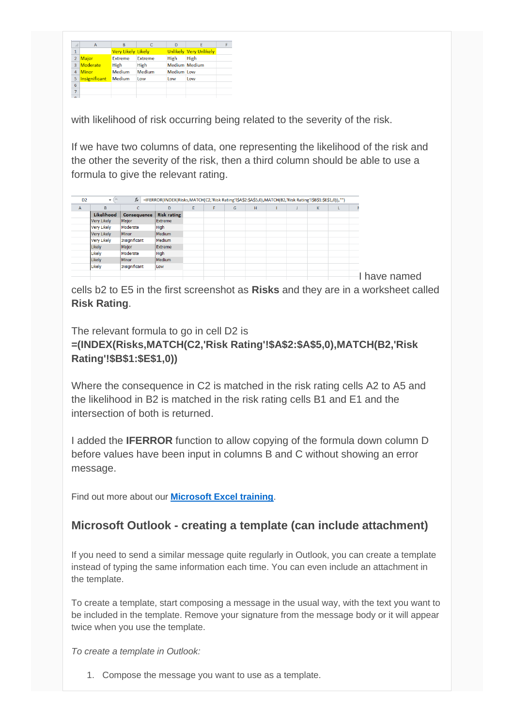| ⊿              | A               | B                         |                | D                    | E                             |  |
|----------------|-----------------|---------------------------|----------------|----------------------|-------------------------------|--|
| $\mathbf{1}$   |                 | <b>Very Likely Likely</b> |                |                      | <b>Unlikely Very Unlikely</b> |  |
| $\overline{2}$ | <b>Major</b>    | <b>Extreme</b>            | <b>Extreme</b> | High                 | High                          |  |
| 3              | <b>Moderate</b> | High                      | High           | <b>Medium Medium</b> |                               |  |
| 4              | <b>Minor</b>    | Medium                    | <b>Medium</b>  | <b>Medium</b> Low    |                               |  |
| 5              | Insignificant   | <b>Medium</b>             | Low            | Low                  | Low                           |  |
| 6              |                 |                           |                |                      |                               |  |
| $\overline{7}$ |                 |                           |                |                      |                               |  |
| $\sim$         |                 |                           |                |                      |                               |  |

with likelihood of risk occurring being related to the severity of the risk.

If we have two columns of data, one representing the likelihood of the risk and the other the severity of the risk, then a third column should be able to use a formula to give the relevant rating.

| A                  | B.         | $\sqrt{2}$    | D                  | E | F | G | H |  | K |  |
|--------------------|------------|---------------|--------------------|---|---|---|---|--|---|--|
|                    | Likelihood | Consequence   | <b>Risk rating</b> |   |   |   |   |  |   |  |
| <b>Very Likely</b> |            | Major         | Extreme            |   |   |   |   |  |   |  |
| <b>Very Likely</b> |            | Moderate      | High               |   |   |   |   |  |   |  |
| <b>Very Likely</b> |            | Minor         | Medium             |   |   |   |   |  |   |  |
| <b>Very Likely</b> |            | Insignificant | Medium             |   |   |   |   |  |   |  |
| Likely             |            | Major         | Extreme            |   |   |   |   |  |   |  |
| Likely             |            | Moderate      | High               |   |   |   |   |  |   |  |
| Likely             |            | Minor         | Medium             |   |   |   |   |  |   |  |
| Likely             |            | Insignificant | Low                |   |   |   |   |  |   |  |

cells b2 to E5 in the first screenshot as **Risks** and they are in a worksheet called **Risk Rating**.

The relevant formula to go in cell D2 is **=(INDEX(Risks,MATCH(C2,'Risk Rating'!\$A\$2:\$A\$5,0),MATCH(B2,'Risk Rating'!\$B\$1:\$E\$1,0))**

Where the consequence in C2 is matched in the risk rating cells A2 to A5 and the likelihood in B2 is matched in the risk rating cells B1 and E1 and the intersection of both is returned.

I added the **IFERROR** function to allow copying of the formula down column D before values have been input in columns B and C without showing an error message.

Find out more about our **[Microsoft Excel training](http://www.archwayct.co.uk/microsoft-office-training/microsoft-excel-training)**.

### **Microsoft Outlook - creating a template (can include attachment)**

If you need to send a similar message quite regularly in Outlook, you can create a template instead of typing the same information each time. You can even include an attachment in the template.

To create a template, start composing a message in the usual way, with the text you want to be included in the template. Remove your signature from the message body or it will appear twice when you use the template.

*To create a template in Outlook:*

1. Compose the message you want to use as a template.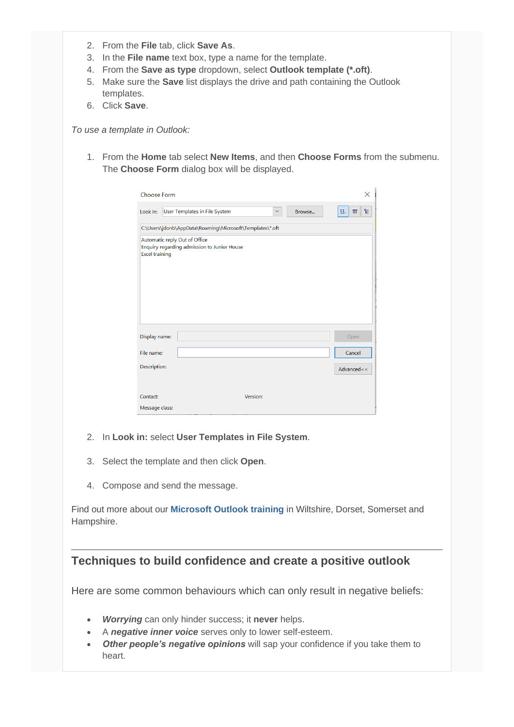- 2. From the **File** tab, click **Save As**.
- 3. In the **File name** text box, type a name for the template.
- 4. From the **Save as type** dropdown, select **Outlook template (\*.oft)**.
- 5. Make sure the **Save** list displays the drive and path containing the Outlook templates.
- 6. Click **Save**.

*To use a template in Outlook:*

1. From the **Home** tab select **New Items**, and then **Choose Forms** from the submenu. The **Choose Form** dialog box will be displayed.

| Choose Form                                              |                                                                              | ×           |  |  |  |  |  |
|----------------------------------------------------------|------------------------------------------------------------------------------|-------------|--|--|--|--|--|
|                                                          | Look In: User Templates in File System<br>$\checkmark$<br>Browse             | H<br>寵<br>曲 |  |  |  |  |  |
| C:\Users\jdonb\AppData\Roaming\Microsoft\Templates\*.oft |                                                                              |             |  |  |  |  |  |
| <b>Excel training</b>                                    | Automatic reply Out of Office<br>Enquiry regarding admission to Junior House |             |  |  |  |  |  |
| Display name:                                            |                                                                              | Open        |  |  |  |  |  |
| File name:                                               |                                                                              | Cancel      |  |  |  |  |  |
| Description:                                             |                                                                              | Advanced<<  |  |  |  |  |  |
| Contact:                                                 | Version:                                                                     |             |  |  |  |  |  |
| Message class:                                           |                                                                              |             |  |  |  |  |  |

- 2. In **Look in:** select **User Templates in File System**.
- 3. Select the template and then click **Open**.
- 4. Compose and send the message.

Find out more about our **[Microsoft Outlook training](http://www.archwayct.co.uk/microsoft-office-training/microsoft-outlook-training)** in Wiltshire, Dorset, Somerset and Hampshire.

#### **Techniques to build confidence and create a positive outlook**

Here are some common behaviours which can only result in negative beliefs:

- *Worrying* can only hinder success; it **never** helps.
- A *negative inner voice* serves only to lower self-esteem.
- *Other people's negative opinions* will sap your confidence if you take them to heart.